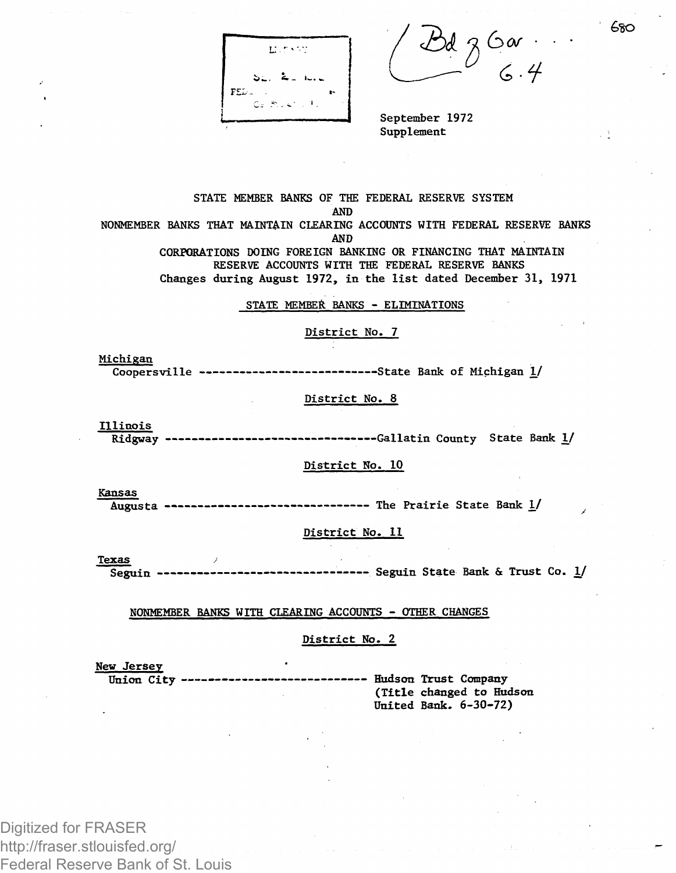**Minks** 

2kt 2 • *a>* f

September 1972 Supplement

STATE MEMBER BANKS OF THE FEDERAL RESERVE SYSTEM AND NONMEMBER BANKS THAT MAINTAIN CLEARING ACCOUNTS WITH FEDERAL RESERVE BANKS AND CORPORATIONS DOING FOREIGN BANKING OR FINANCING THAT MAINTAIN RESERVE ACCOUNTS WITH THE FEDERAL RESERVE BANKS

Changes during August 1972, in the list dated December 31, 1971

STATE MEMBER: BANKS - ELIMINATIONS

#### District No. 7

Michigan Coopersville --------------------------State Bank of Michigan 1/

# District No. 8

Illinois

Ridgway -------------------------------Gallatin County State Bank 1/

### District No. 10

Kansas

Augusta ------------------------------ The Prairie State Bank 1/

### District No. 11

**Texas** Seguin ------------------------------- Seguin State Bank & Trust Co. 1/

NONMEMBER BANKS WITH CLEARING ACCOUNTS - OTHER CHANGES

## District No. 2

United Bank. 6-30-72)

New Jersey Union City ---------------------------- Hudson Trust Company (Title changed to Hudson

Digitized for FRASER http://fraser.stlouisfed.org/ Federal Reserve Bank of St. Louis *&60*